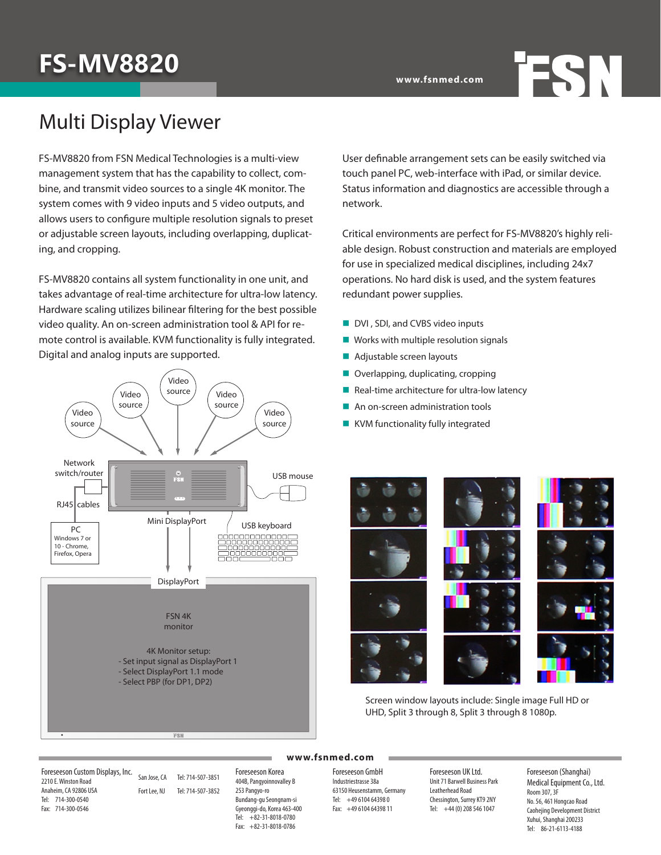# **FS-MV8820**

### Multi Display Viewer

FS-MV8820 from FSN Medical Technologies is a multi-view management system that has the capability to collect, combine, and transmit video sources to a single 4K monitor. The system comes with 9 video inputs and 5 video outputs, and allows users to configure multiple resolution signals to preset or adjustable screen layouts, including overlapping, duplicating, and cropping.

FS-MV8820 contains all system functionality in one unit, and takes advantage of real-time architecture for ultra-low latency. Hardware scaling utilizes bilinear filtering for the best possible video quality. An on-screen administration tool & API for remote control is available. KVM functionality is fully integrated. Digital and analog inputs are supported.



User definable arrangement sets can be easily switched via touch panel PC, web-interface with iPad, or similar device. Status information and diagnostics are accessible through a network.

**FSN** 

Critical environments are perfect for FS-MV8820's highly reliable design. Robust construction and materials are employed for use in specialized medical disciplines, including 24x7 operations. No hard disk is used, and the system features redundant power supplies.

- 
- 
- 
- 
- $\blacksquare$  Real-time architecture for ultra-low latency
- $\blacksquare$  An on-screen administration tools
- 



Screen window layouts include: Single image Full HD or UHD, Split 3 through 8, Split 3 through 8 1080p.

Foreseeson Custom Displays, Inc. 2210 E. Winston Road Anaheim, CA 92806 USA Tel: 714-300-0540 Fax: 714-300-0546

San Jose, CA Tel: 714-507-3851 Fort Lee, NJ Tel: 714-507-3852

Foreseeson Korea 404B, Pangyoinnovalley B 253 Pangyo-ro Bundang-gu Seongnam-si Gyeonggi-do, Korea 463-400 Tel: +82-31-8018-0780 Fax: +82-31-8018-0786

Foreseeson GmbH Industriestrasse 38a 63150 Heusenstamm, Germany

**www.fsnmed.com**

Tel: +49 6104 64398 0 Fax: +49 6104 64398 11 Foreseeson UK Ltd. Unit 71 Barwell Business Park Leatherhead Road Chessington, Surrey KT9 2NY Tel: +44 (0) 208 546 1047

Foreseeson (Shanghai) Medical Equipment Co., Ltd. Room 307, 3F No. 56, 461 Hongcao Road Caohejing Development District Xuhui, Shanghai 200233 Tel: 86-21-6113-4188

- DVI, SDI, and CVBS video inputs
- $\blacksquare$  Works with multiple resolution signals
- $\blacksquare$  Adjustable screen layouts
- $\blacksquare$  Overlapping, duplicating, cropping
- 
- 
- $\blacksquare$  KVM functionality fully integrated